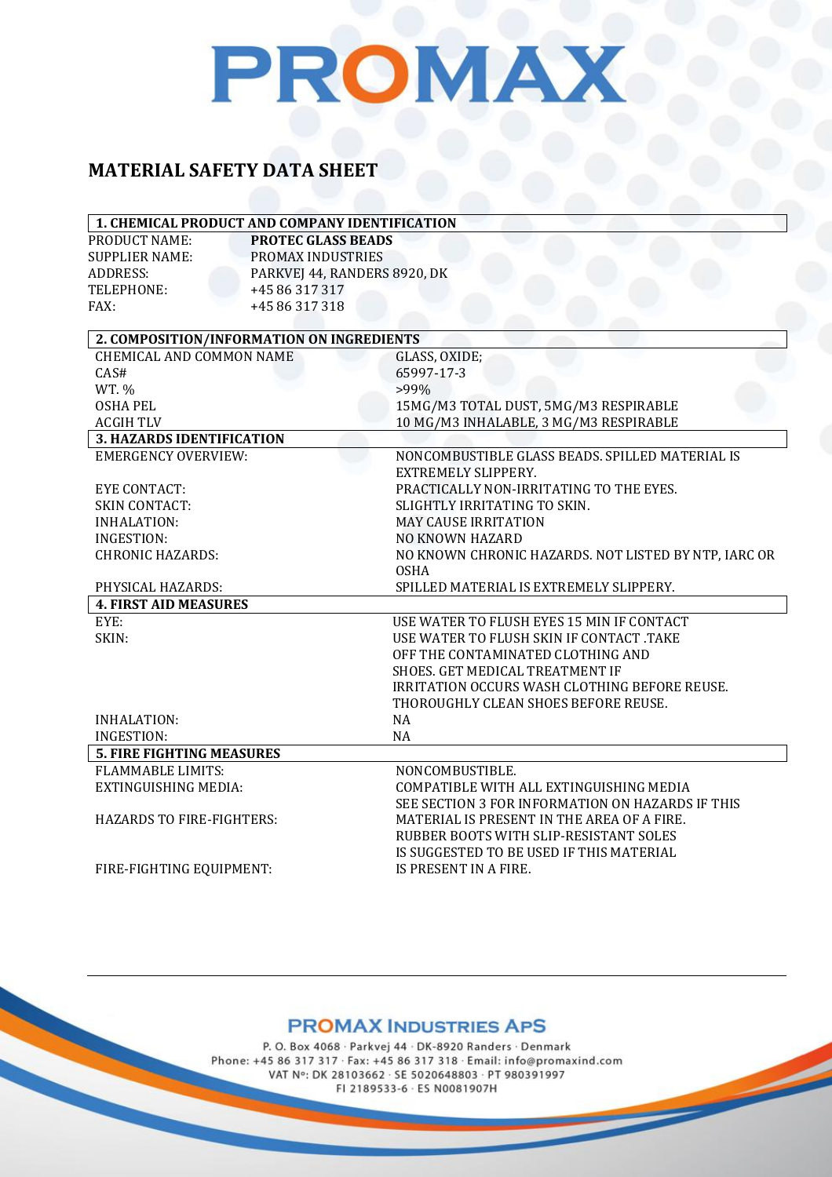### PROMAX

### **MATERIAL SAFETY DATA SHEET**

| <b>PROTEC GLASS BEADS</b><br>PROMAX INDUSTRIES<br>PARKVEJ 44, RANDERS 8920, DK<br>+45 86 317 317<br>+45 86 317 318<br>2. COMPOSITION/INFORMATION ON INGREDIENTS<br><b>CHEMICAL AND COMMON NAME</b><br>GLASS, OXIDE;<br>CAS#<br>65997-17-3<br>WT. %<br>$>99\%$<br><b>OSHA PEL</b><br>15MG/M3 TOTAL DUST, 5MG/M3 RESPIRABLE<br><b>ACGIH TLV</b><br>10 MG/M3 INHALABLE, 3 MG/M3 RESPIRABLE<br><b>3. HAZARDS IDENTIFICATION</b><br><b>EMERGENCY OVERVIEW:</b><br>NONCOMBUSTIBLE GLASS BEADS. SPILLED MATERIAL IS<br><b>EXTREMELY SLIPPERY.</b><br><b>EYE CONTACT:</b><br>PRACTICALLY NON-IRRITATING TO THE EYES.<br><b>SKIN CONTACT:</b><br>SLIGHTLY IRRITATING TO SKIN.<br><b>INHALATION:</b><br><b>MAY CAUSE IRRITATION</b><br><b>INGESTION:</b><br><b>NO KNOWN HAZARD</b><br><b>CHRONIC HAZARDS:</b><br>NO KNOWN CHRONIC HAZARDS. NOT LISTED BY NTP, IARC OR<br><b>OSHA</b><br>SPILLED MATERIAL IS EXTREMELY SLIPPERY.<br>PHYSICAL HAZARDS:<br><b>4. FIRST AID MEASURES</b><br>EYE:<br>USE WATER TO FLUSH EYES 15 MIN IF CONTACT<br>SKIN:<br>USE WATER TO FLUSH SKIN IF CONTACT .TAKE<br>OFF THE CONTAMINATED CLOTHING AND<br>SHOES. GET MEDICAL TREATMENT IF<br>IRRITATION OCCURS WASH CLOTHING BEFORE REUSE.<br>THOROUGHLY CLEAN SHOES BEFORE REUSE.<br><b>INHALATION:</b><br>NA<br><b>INGESTION:</b><br><b>NA</b><br><b>5. FIRE FIGHTING MEASURES</b><br><b>FLAMMABLE LIMITS:</b><br>NONCOMBUSTIBLE.<br><b>EXTINGUISHING MEDIA:</b><br>COMPATIBLE WITH ALL EXTINGUISHING MEDIA<br>SEE SECTION 3 FOR INFORMATION ON HAZARDS IF THIS | 1. CHEMICAL PRODUCT AND COMPANY IDENTIFICATION |  |  |
|--------------------------------------------------------------------------------------------------------------------------------------------------------------------------------------------------------------------------------------------------------------------------------------------------------------------------------------------------------------------------------------------------------------------------------------------------------------------------------------------------------------------------------------------------------------------------------------------------------------------------------------------------------------------------------------------------------------------------------------------------------------------------------------------------------------------------------------------------------------------------------------------------------------------------------------------------------------------------------------------------------------------------------------------------------------------------------------------------------------------------------------------------------------------------------------------------------------------------------------------------------------------------------------------------------------------------------------------------------------------------------------------------------------------------------------------------------------------------------------------------------------------------------------|------------------------------------------------|--|--|
|                                                                                                                                                                                                                                                                                                                                                                                                                                                                                                                                                                                                                                                                                                                                                                                                                                                                                                                                                                                                                                                                                                                                                                                                                                                                                                                                                                                                                                                                                                                                      | PRODUCT NAME:                                  |  |  |
|                                                                                                                                                                                                                                                                                                                                                                                                                                                                                                                                                                                                                                                                                                                                                                                                                                                                                                                                                                                                                                                                                                                                                                                                                                                                                                                                                                                                                                                                                                                                      | <b>SUPPLIER NAME:</b>                          |  |  |
|                                                                                                                                                                                                                                                                                                                                                                                                                                                                                                                                                                                                                                                                                                                                                                                                                                                                                                                                                                                                                                                                                                                                                                                                                                                                                                                                                                                                                                                                                                                                      | <b>ADDRESS:</b>                                |  |  |
|                                                                                                                                                                                                                                                                                                                                                                                                                                                                                                                                                                                                                                                                                                                                                                                                                                                                                                                                                                                                                                                                                                                                                                                                                                                                                                                                                                                                                                                                                                                                      | TELEPHONE:                                     |  |  |
|                                                                                                                                                                                                                                                                                                                                                                                                                                                                                                                                                                                                                                                                                                                                                                                                                                                                                                                                                                                                                                                                                                                                                                                                                                                                                                                                                                                                                                                                                                                                      | FAX:                                           |  |  |
|                                                                                                                                                                                                                                                                                                                                                                                                                                                                                                                                                                                                                                                                                                                                                                                                                                                                                                                                                                                                                                                                                                                                                                                                                                                                                                                                                                                                                                                                                                                                      |                                                |  |  |
|                                                                                                                                                                                                                                                                                                                                                                                                                                                                                                                                                                                                                                                                                                                                                                                                                                                                                                                                                                                                                                                                                                                                                                                                                                                                                                                                                                                                                                                                                                                                      |                                                |  |  |
|                                                                                                                                                                                                                                                                                                                                                                                                                                                                                                                                                                                                                                                                                                                                                                                                                                                                                                                                                                                                                                                                                                                                                                                                                                                                                                                                                                                                                                                                                                                                      |                                                |  |  |
|                                                                                                                                                                                                                                                                                                                                                                                                                                                                                                                                                                                                                                                                                                                                                                                                                                                                                                                                                                                                                                                                                                                                                                                                                                                                                                                                                                                                                                                                                                                                      |                                                |  |  |
|                                                                                                                                                                                                                                                                                                                                                                                                                                                                                                                                                                                                                                                                                                                                                                                                                                                                                                                                                                                                                                                                                                                                                                                                                                                                                                                                                                                                                                                                                                                                      |                                                |  |  |
|                                                                                                                                                                                                                                                                                                                                                                                                                                                                                                                                                                                                                                                                                                                                                                                                                                                                                                                                                                                                                                                                                                                                                                                                                                                                                                                                                                                                                                                                                                                                      |                                                |  |  |
|                                                                                                                                                                                                                                                                                                                                                                                                                                                                                                                                                                                                                                                                                                                                                                                                                                                                                                                                                                                                                                                                                                                                                                                                                                                                                                                                                                                                                                                                                                                                      |                                                |  |  |
|                                                                                                                                                                                                                                                                                                                                                                                                                                                                                                                                                                                                                                                                                                                                                                                                                                                                                                                                                                                                                                                                                                                                                                                                                                                                                                                                                                                                                                                                                                                                      |                                                |  |  |
|                                                                                                                                                                                                                                                                                                                                                                                                                                                                                                                                                                                                                                                                                                                                                                                                                                                                                                                                                                                                                                                                                                                                                                                                                                                                                                                                                                                                                                                                                                                                      |                                                |  |  |
|                                                                                                                                                                                                                                                                                                                                                                                                                                                                                                                                                                                                                                                                                                                                                                                                                                                                                                                                                                                                                                                                                                                                                                                                                                                                                                                                                                                                                                                                                                                                      |                                                |  |  |
|                                                                                                                                                                                                                                                                                                                                                                                                                                                                                                                                                                                                                                                                                                                                                                                                                                                                                                                                                                                                                                                                                                                                                                                                                                                                                                                                                                                                                                                                                                                                      |                                                |  |  |
|                                                                                                                                                                                                                                                                                                                                                                                                                                                                                                                                                                                                                                                                                                                                                                                                                                                                                                                                                                                                                                                                                                                                                                                                                                                                                                                                                                                                                                                                                                                                      |                                                |  |  |
|                                                                                                                                                                                                                                                                                                                                                                                                                                                                                                                                                                                                                                                                                                                                                                                                                                                                                                                                                                                                                                                                                                                                                                                                                                                                                                                                                                                                                                                                                                                                      |                                                |  |  |
|                                                                                                                                                                                                                                                                                                                                                                                                                                                                                                                                                                                                                                                                                                                                                                                                                                                                                                                                                                                                                                                                                                                                                                                                                                                                                                                                                                                                                                                                                                                                      |                                                |  |  |
|                                                                                                                                                                                                                                                                                                                                                                                                                                                                                                                                                                                                                                                                                                                                                                                                                                                                                                                                                                                                                                                                                                                                                                                                                                                                                                                                                                                                                                                                                                                                      |                                                |  |  |
|                                                                                                                                                                                                                                                                                                                                                                                                                                                                                                                                                                                                                                                                                                                                                                                                                                                                                                                                                                                                                                                                                                                                                                                                                                                                                                                                                                                                                                                                                                                                      |                                                |  |  |
|                                                                                                                                                                                                                                                                                                                                                                                                                                                                                                                                                                                                                                                                                                                                                                                                                                                                                                                                                                                                                                                                                                                                                                                                                                                                                                                                                                                                                                                                                                                                      |                                                |  |  |
|                                                                                                                                                                                                                                                                                                                                                                                                                                                                                                                                                                                                                                                                                                                                                                                                                                                                                                                                                                                                                                                                                                                                                                                                                                                                                                                                                                                                                                                                                                                                      |                                                |  |  |
|                                                                                                                                                                                                                                                                                                                                                                                                                                                                                                                                                                                                                                                                                                                                                                                                                                                                                                                                                                                                                                                                                                                                                                                                                                                                                                                                                                                                                                                                                                                                      |                                                |  |  |
|                                                                                                                                                                                                                                                                                                                                                                                                                                                                                                                                                                                                                                                                                                                                                                                                                                                                                                                                                                                                                                                                                                                                                                                                                                                                                                                                                                                                                                                                                                                                      |                                                |  |  |
|                                                                                                                                                                                                                                                                                                                                                                                                                                                                                                                                                                                                                                                                                                                                                                                                                                                                                                                                                                                                                                                                                                                                                                                                                                                                                                                                                                                                                                                                                                                                      |                                                |  |  |
|                                                                                                                                                                                                                                                                                                                                                                                                                                                                                                                                                                                                                                                                                                                                                                                                                                                                                                                                                                                                                                                                                                                                                                                                                                                                                                                                                                                                                                                                                                                                      |                                                |  |  |
|                                                                                                                                                                                                                                                                                                                                                                                                                                                                                                                                                                                                                                                                                                                                                                                                                                                                                                                                                                                                                                                                                                                                                                                                                                                                                                                                                                                                                                                                                                                                      |                                                |  |  |
|                                                                                                                                                                                                                                                                                                                                                                                                                                                                                                                                                                                                                                                                                                                                                                                                                                                                                                                                                                                                                                                                                                                                                                                                                                                                                                                                                                                                                                                                                                                                      |                                                |  |  |
|                                                                                                                                                                                                                                                                                                                                                                                                                                                                                                                                                                                                                                                                                                                                                                                                                                                                                                                                                                                                                                                                                                                                                                                                                                                                                                                                                                                                                                                                                                                                      |                                                |  |  |
|                                                                                                                                                                                                                                                                                                                                                                                                                                                                                                                                                                                                                                                                                                                                                                                                                                                                                                                                                                                                                                                                                                                                                                                                                                                                                                                                                                                                                                                                                                                                      |                                                |  |  |
|                                                                                                                                                                                                                                                                                                                                                                                                                                                                                                                                                                                                                                                                                                                                                                                                                                                                                                                                                                                                                                                                                                                                                                                                                                                                                                                                                                                                                                                                                                                                      |                                                |  |  |
|                                                                                                                                                                                                                                                                                                                                                                                                                                                                                                                                                                                                                                                                                                                                                                                                                                                                                                                                                                                                                                                                                                                                                                                                                                                                                                                                                                                                                                                                                                                                      |                                                |  |  |
|                                                                                                                                                                                                                                                                                                                                                                                                                                                                                                                                                                                                                                                                                                                                                                                                                                                                                                                                                                                                                                                                                                                                                                                                                                                                                                                                                                                                                                                                                                                                      |                                                |  |  |
| MATERIAL IS PRESENT IN THE AREA OF A FIRE.<br><b>HAZARDS TO FIRE-FIGHTERS:</b>                                                                                                                                                                                                                                                                                                                                                                                                                                                                                                                                                                                                                                                                                                                                                                                                                                                                                                                                                                                                                                                                                                                                                                                                                                                                                                                                                                                                                                                       |                                                |  |  |
| RUBBER BOOTS WITH SLIP-RESISTANT SOLES                                                                                                                                                                                                                                                                                                                                                                                                                                                                                                                                                                                                                                                                                                                                                                                                                                                                                                                                                                                                                                                                                                                                                                                                                                                                                                                                                                                                                                                                                               |                                                |  |  |
| IS SUGGESTED TO BE USED IF THIS MATERIAL                                                                                                                                                                                                                                                                                                                                                                                                                                                                                                                                                                                                                                                                                                                                                                                                                                                                                                                                                                                                                                                                                                                                                                                                                                                                                                                                                                                                                                                                                             |                                                |  |  |
| IS PRESENT IN A FIRE.<br>FIRE-FIGHTING EQUIPMENT:                                                                                                                                                                                                                                                                                                                                                                                                                                                                                                                                                                                                                                                                                                                                                                                                                                                                                                                                                                                                                                                                                                                                                                                                                                                                                                                                                                                                                                                                                    |                                                |  |  |

### **PROMAX INDUSTRIES APS**

P. O. Box 4068 · Parkvej 44 · DK-8920 Randers · Denmark Phone: +45 86 317 317 · Fax: +45 86 317 318 · Email: info@promaxind.com VAT Nº: DK 28103662 · SE 5020648803 · PT 980391997 FI 2189533-6 · ES N0081907H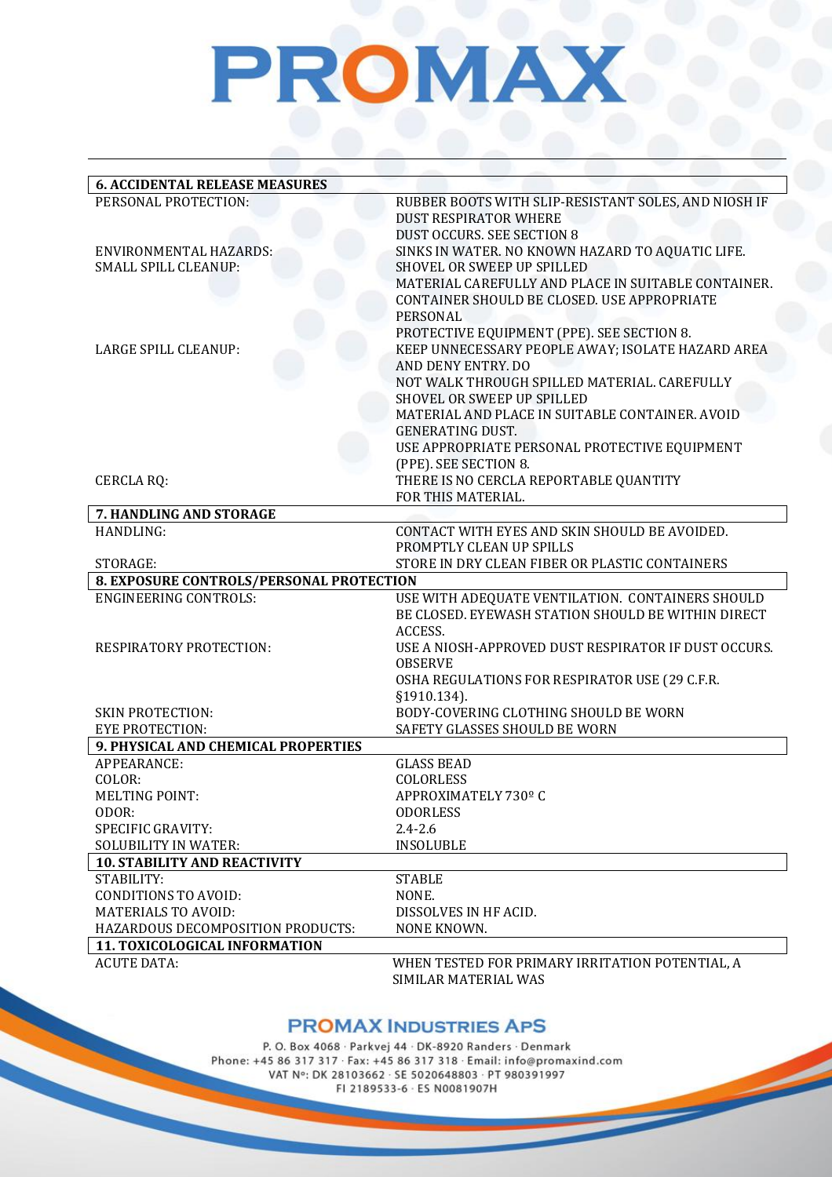## PROMAX

| <b>6. ACCIDENTAL RELEASE MEASURES</b>            |                                                      |
|--------------------------------------------------|------------------------------------------------------|
| PERSONAL PROTECTION:                             | RUBBER BOOTS WITH SLIP-RESISTANT SOLES, AND NIOSH IF |
|                                                  | <b>DUST RESPIRATOR WHERE</b>                         |
|                                                  | <b>DUST OCCURS. SEE SECTION 8</b>                    |
| ENVIRONMENTAL HAZARDS:                           | SINKS IN WATER. NO KNOWN HAZARD TO AQUATIC LIFE.     |
| SMALL SPILL CLEANUP:                             | <b>SHOVEL OR SWEEP UP SPILLED</b>                    |
|                                                  | MATERIAL CAREFULLY AND PLACE IN SUITABLE CONTAINER.  |
|                                                  | CONTAINER SHOULD BE CLOSED. USE APPROPRIATE          |
|                                                  | PERSONAL                                             |
|                                                  | PROTECTIVE EQUIPMENT (PPE). SEE SECTION 8.           |
| LARGE SPILL CLEANUP:                             | KEEP UNNECESSARY PEOPLE AWAY; ISOLATE HAZARD AREA    |
|                                                  | AND DENY ENTRY. DO                                   |
|                                                  | NOT WALK THROUGH SPILLED MATERIAL. CAREFULLY         |
|                                                  | SHOVEL OR SWEEP UP SPILLED                           |
|                                                  | MATERIAL AND PLACE IN SUITABLE CONTAINER. AVOID      |
|                                                  | <b>GENERATING DUST.</b>                              |
|                                                  | USE APPROPRIATE PERSONAL PROTECTIVE EQUIPMENT        |
|                                                  | (PPE). SEE SECTION 8.                                |
| <b>CERCLA RQ:</b>                                | THERE IS NO CERCLA REPORTABLE QUANTITY               |
|                                                  | FOR THIS MATERIAL.                                   |
| 7. HANDLING AND STORAGE                          |                                                      |
| HANDLING:                                        | CONTACT WITH EYES AND SKIN SHOULD BE AVOIDED.        |
|                                                  | PROMPTLY CLEAN UP SPILLS                             |
| STORAGE:                                         | STORE IN DRY CLEAN FIBER OR PLASTIC CONTAINERS       |
| 8. EXPOSURE CONTROLS/PERSONAL PROTECTION         |                                                      |
| <b>ENGINEERING CONTROLS:</b>                     | USE WITH ADEQUATE VENTILATION. CONTAINERS SHOULD     |
|                                                  | BE CLOSED. EYEWASH STATION SHOULD BE WITHIN DIRECT   |
|                                                  | ACCESS.                                              |
| RESPIRATORY PROTECTION:                          | USE A NIOSH-APPROVED DUST RESPIRATOR IF DUST OCCURS. |
|                                                  | <b>OBSERVE</b>                                       |
|                                                  | OSHA REGULATIONS FOR RESPIRATOR USE (29 C.F.R.       |
|                                                  | §1910.134).                                          |
| <b>SKIN PROTECTION:</b>                          | BODY-COVERING CLOTHING SHOULD BE WORN                |
| <b>EYE PROTECTION:</b>                           | SAFETY GLASSES SHOULD BE WORN                        |
| 9. PHYSICAL AND CHEMICAL PROPERTIES              |                                                      |
| APPEARANCE:                                      | <b>GLASS BEAD</b>                                    |
| COLOR:                                           | COLORLESS                                            |
| MELTING POINT:                                   | APPROXIMATELY 730° C                                 |
| ODOR:                                            | <b>ODORLESS</b>                                      |
| SPECIFIC GRAVITY:<br><b>SOLUBILITY IN WATER:</b> | $2.4 - 2.6$                                          |
| <b>10. STABILITY AND REACTIVITY</b>              | <b>INSOLUBLE</b>                                     |
| STABILITY:                                       | <b>STABLE</b>                                        |
| <b>CONDITIONS TO AVOID:</b>                      |                                                      |
| <b>MATERIALS TO AVOID:</b>                       | NONE.<br>DISSOLVES IN HF ACID.                       |
| HAZARDOUS DECOMPOSITION PRODUCTS:                | NONE KNOWN.                                          |
| 11. TOXICOLOGICAL INFORMATION                    |                                                      |
| <b>ACUTE DATA:</b>                               | WHEN TESTED FOR PRIMARY IRRITATION POTENTIAL, A      |
|                                                  | SIMILAR MATERIAL WAS                                 |
|                                                  |                                                      |

### **PROMAX INDUSTRIES APS**

P. O. Box 4068 · Parkvej 44 · DK-8920 Randers · Denmark Phone: +45 86 317 317 · Fax: +45 86 317 318 · Email: info@promaxind.com VAT Nº: DK 28103662 · SE 5020648803 · PT 980391997 FI 2189533-6 · ES N0081907H